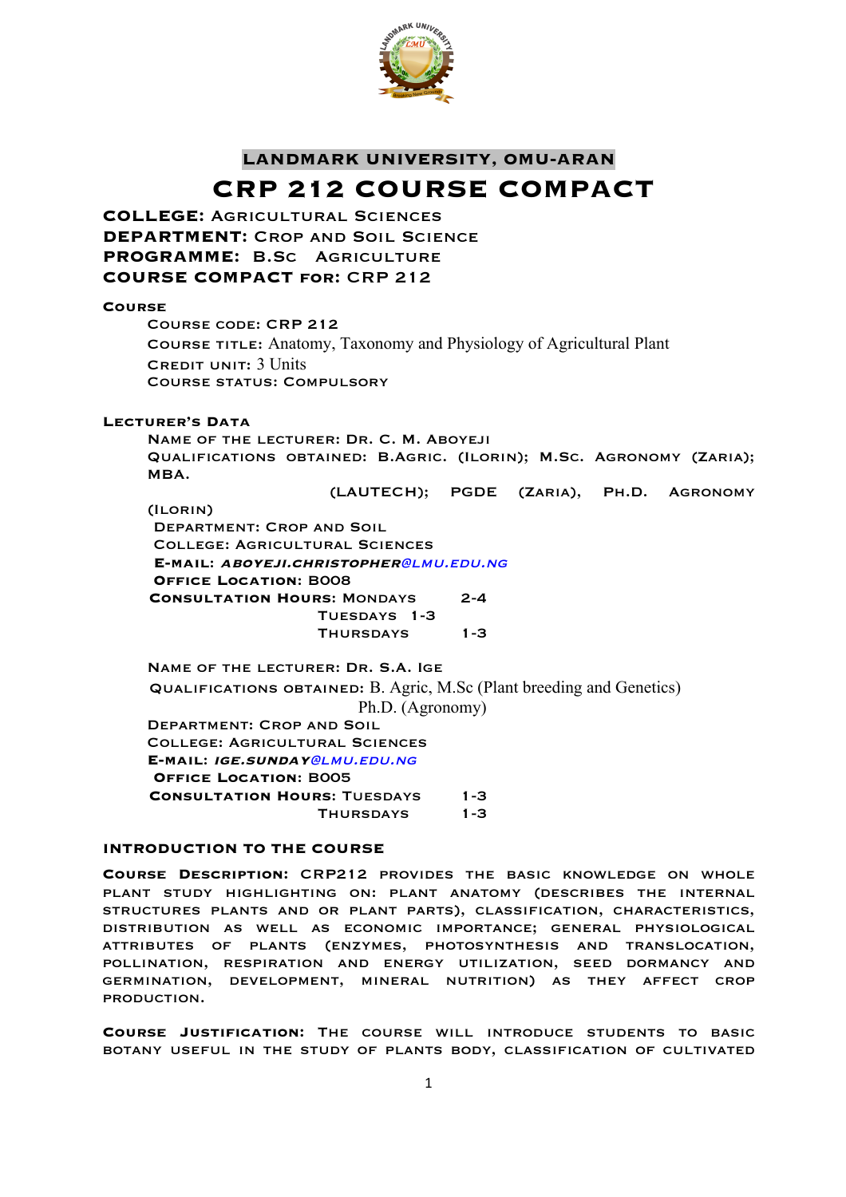

# **LANDMARK UNIVERSITY, OMU-ARAN CRP 212 COURSE COMPACT**

**COLLEGE:** Agricultural Sciences **DEPARTMENT: CROP AND SOIL SCIENCE PROGRAMME:** B.Sc Agriculture **COURSE COMPACT for:** CRP 212

### **Course**

Course code: CRP 212 Course title: Anatomy, Taxonomy and Physiology of Agricultural Plant CREDIT UNIT: 3 Units Course status: Compulsory

# **Lecturer's Data**

Name of the lecturer: Dr. C. M. Aboyeji Qualifications obtained: B.Agric. (Ilorin); M.Sc. Agronomy (Zaria); MBA.

(LAUTECH); PGDE (Zaria), Ph.D. Agronomy

(Ilorin) Department: Crop and Soil College: Agricultural Sciences **E-mail**: **aboyeji.christopher**@lmu.edu.ng **Office Location**: B008  **Consultation Hours**: Mondays 2-4 Tuesdays 1-3 Thursdays 1-3

Name of the lecturer: Dr. S.A. Ige Qualifications obtained: B. Agric, M.Sc (Plant breeding and Genetics) Ph.D. (Agronomy) Department: Crop and Soil College: Agricultural Sciences **E-mail**: **ige.sunday**@lmu.edu.ng **Office Location**: B005 **CONSULTATION HOURS: TUESDAYS 1-3** Thursdays 1-3

# **INTRODUCTION TO THE COURSE**

**Course Description:** CRP212 provides the basic knowledge on whole plant study highlighting on: plant anatomy (describes the internal structures plants and or plant parts), classification, characteristics, distribution as well as economic importance; general physiological attributes of plants (enzymes, photosynthesis and translocation, pollination, respiration and energy utilization, seed dormancy and germination, development, mineral nutrition) as they affect crop production.

**Course Justification:** The course will introduce students to basic botany useful in the study of plants body, classification of cultivated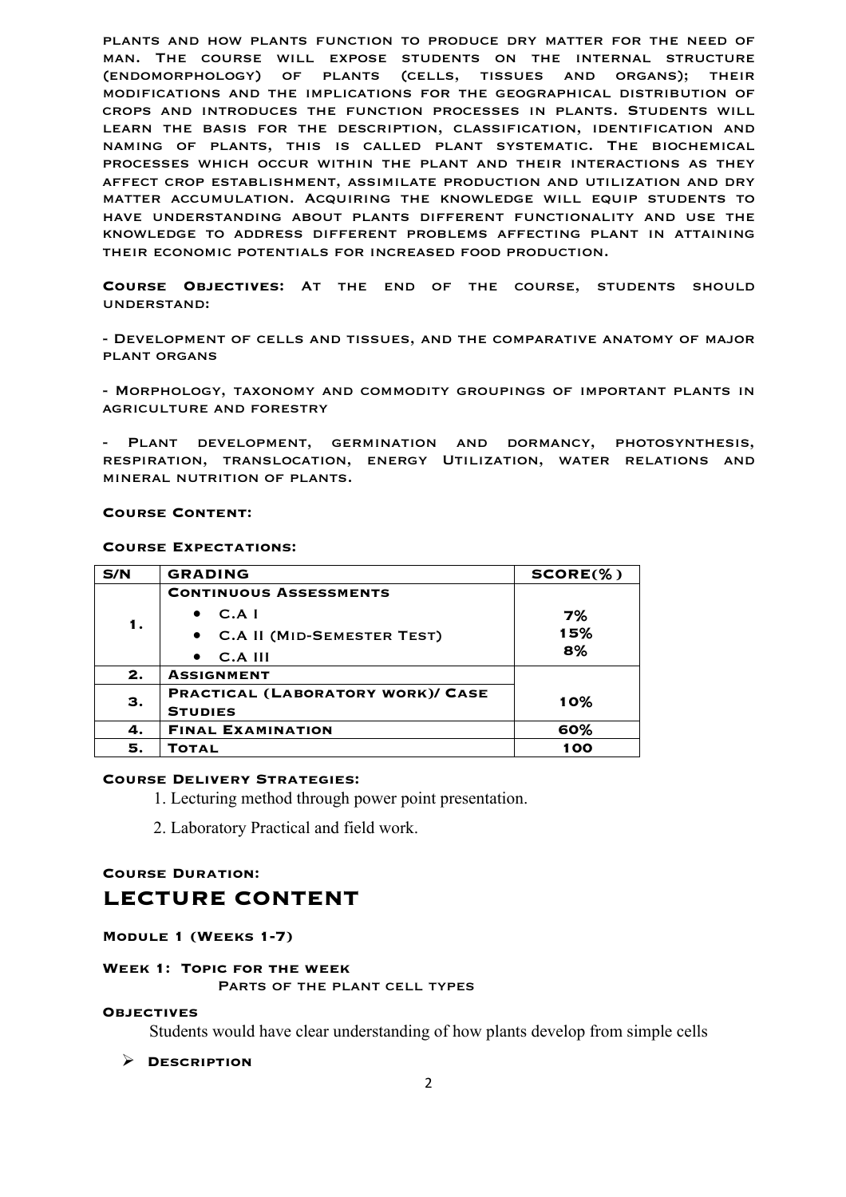plants and how plants function to produce dry matter for the need of man. The course will expose students on the internal structure (endomorphology) of plants (cells, tissues and organs); their modifications and the implications for the geographical distribution of crops and introduces the function processes in plants. Students will learn the basis for the description, classification, identification and naming of plants, this is called plant systematic. The biochemical processes which occur within the plant and their interactions as they affect crop establishment, assimilate production and utilization and dry matter accumulation. Acquiring the knowledge will equip students to have understanding about plants different functionality and use the knowledge to address different problems affecting plant in attaining their economic potentials for increased food production.

**Course Objectives:** At the end of the course, students should understand:

- Development of cells and tissues, and the comparative anatomy of major plant organs

- Morphology, taxonomy and commodity groupings of important plants in AGRICULTURE AND FORESTRY

PLANT DEVELOPMENT, GERMINATION AND DORMANCY, PHOTOSYNTHESIS, respiration, translocation, energy Utilization, water relations and mineral nutrition of plants.

#### **Course Content:**

#### **Course Expectations:**

| S/N | <b>GRADING</b>                    | $SCORE(\% )$ |
|-----|-----------------------------------|--------------|
| 1.  | <b>CONTINUOUS ASSESSMENTS</b>     |              |
|     | C.A I<br>$\bullet$                | 7%           |
|     | • C.A II (MID-SEMESTER TEST)      | 15%          |
|     | $C.A$ III<br>$\bullet$            | 8%           |
| 2.  | <b>ASSIGNMENT</b>                 |              |
| З.  | PRACTICAL (LABORATORY WORK)/ CASE | 10%          |
|     | <b>STUDIES</b>                    |              |
| 4.  | <b>FINAL EXAMINATION</b>          | 60%          |
| 5.  | Тотаг                             | 100          |

### **Course Delivery Strategies:**

1. Lecturing method through power point presentation.

2. Laboratory Practical and field work.

# **Course Duration:**

# **LECTURE CONTENT**

### **Module 1 (Weeks 1-7)**

#### **Week 1: Topic for the week**

PARTS OF THE PLANT CELL TYPES

#### **Objectives**

Students would have clear understanding of how plants develop from simple cells

### Ø **Description**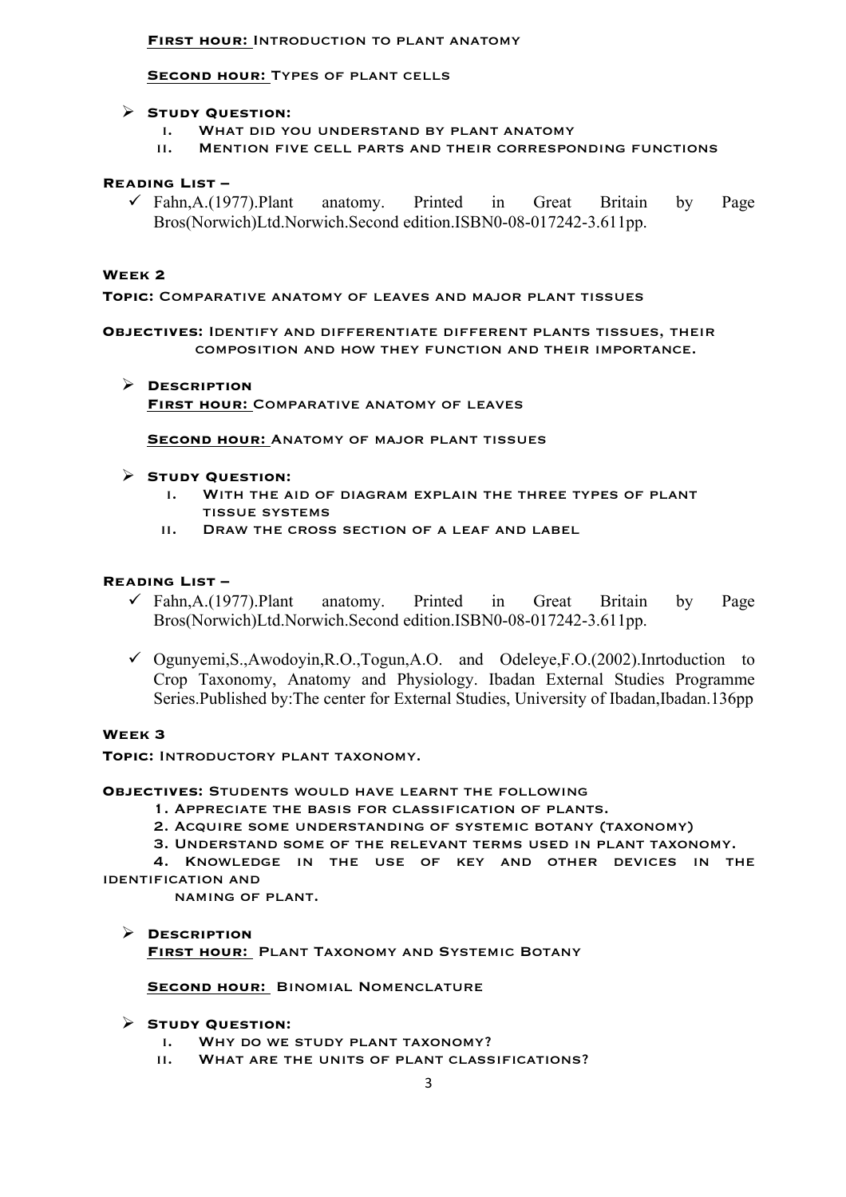# **First hour:** Introduction to plant anatomy

# **SECOND HOUR: TYPES OF PLANT CELLS**

# Ø **Study Question:**

- i. What did you understand by plant anatomy
- ii. Mention five cell parts and their corresponding functions

# **Reading List –**

 $\checkmark$  Fahn,A.(1977).Plant anatomy. Printed in Great Britain by Page Bros(Norwich)Ltd.Norwich.Second edition.ISBN0-08-017242-3.611pp.

# **Week 2**

**Topic:** Comparative anatomy of leaves and major plant tissues

**Objectives:** Identify and differentiate different plants tissues, their composition and how they function and their importance.

Ø **Description First hour:** Comparative anatomy of leaves

**Second hour:** Anatomy of major plant tissues

# Ø **Study Question:**

- i. With the aid of diagram explain the three types of plant tissue systems
- ii. Draw the cross section of a leaf and label

# **Reading List –**

- $\checkmark$  Fahn,A.(1977).Plant anatomy. Printed in Great Britain by Page Bros(Norwich)Ltd.Norwich.Second edition.ISBN0-08-017242-3.611pp.
- $\checkmark$  Ogunyemi,S.,Awodoyin,R.O.,Togun,A.O. and Odeleye,F.O.(2002).Inrtoduction to Crop Taxonomy, Anatomy and Physiology. Ibadan External Studies Programme Series.Published by:The center for External Studies, University of Ibadan,Ibadan.136pp

## **Week 3**

**Topic:** Introductory plant taxonomy.

# **Objectives:** Students would have learnt the following

- 1. Appreciate the basis for classification of plants.
- 2. Acquire some understanding of systemic botany (taxonomy)
- 3. Understand some of the relevant terms used in plant taxonomy.

4. Knowledge in the use of key and other devices in the identification and

naming of plant.

## Ø **Description**

**First hour:** Plant Taxonomy and Systemic Botany

## **SECOND HOUR: BINOMIAL NOMENCLATURE**

# Ø **Study Question:**

- i. Why do we study plant taxonomy?
- ii. What are the units of plant classifications?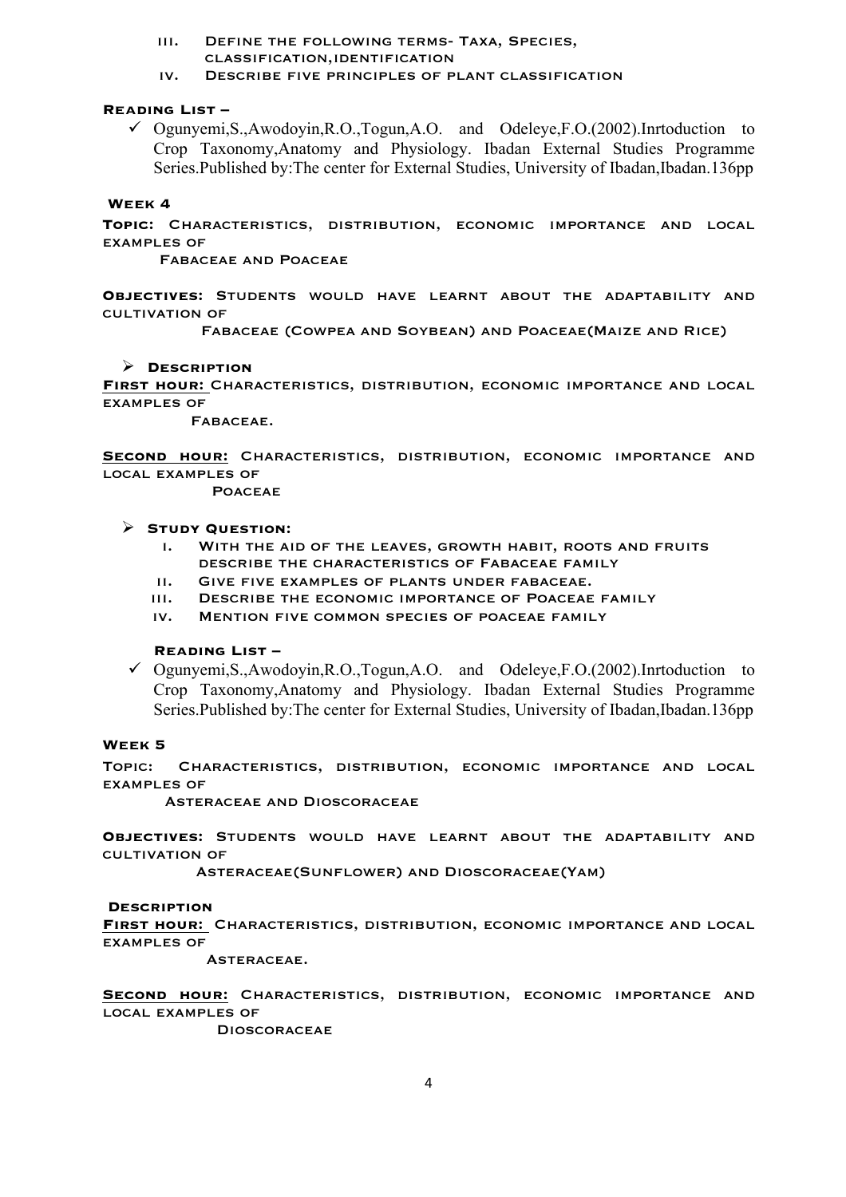### iii. Define the following terms- Taxa, Species, classification,identification

iv. Describe five principles of plant classification

# **Reading List –**

 $\checkmark$  Ogunyemi,S.,Awodoyin,R.O.,Togun,A.O. and Odeleye,F.O.(2002).Inrtoduction to Crop Taxonomy,Anatomy and Physiology. Ibadan External Studies Programme Series.Published by:The center for External Studies, University of Ibadan,Ibadan.136pp

#### **Week 4**

**Topic:** Characteristics, distribution, economic importance and local examples of

Fabaceae and Poaceae

**Objectives:** Students would have learnt about the adaptability and cultivation of

Fabaceae (Cowpea and Soybean) and Poaceae(Maize and Rice)

#### Ø **Description**

**First hour:** Characteristics, distribution, economic importance and local examples of

Fabaceae.

**Second hour:** Characteristics, distribution, economic importance and local examples of

**POACEAE** 

### Ø **Study Question:**

- i. With the aid of the leaves, growth habit, roots and fruits describe the characteristics of Fabaceae family
- ii. Give five examples of plants under fabaceae.
- iii. Describe the economic importance of Poaceae family
- iv. Mention five common species of poaceae family

# **Reading List –**

 $\checkmark$  Ogunyemi,S.,Awodoyin,R.O.,Togun,A.O. and Odeleye,F.O.(2002).Inrtoduction to Crop Taxonomy,Anatomy and Physiology. Ibadan External Studies Programme Series.Published by:The center for External Studies, University of Ibadan,Ibadan.136pp

#### **Week 5**

Topic: Characteristics, distribution, economic importance and local examples of

Asteraceae and Dioscoraceae

**Objectives:** Students would have learnt about the adaptability and cultivation of

Asteraceae(Sunflower) and Dioscoraceae(Yam)

#### **Description**

**First hour:** Characteristics, distribution, economic importance and local examples of

Asteraceae.

**Second hour:** Characteristics, distribution, economic importance and local examples of

**DIOSCORACEAE**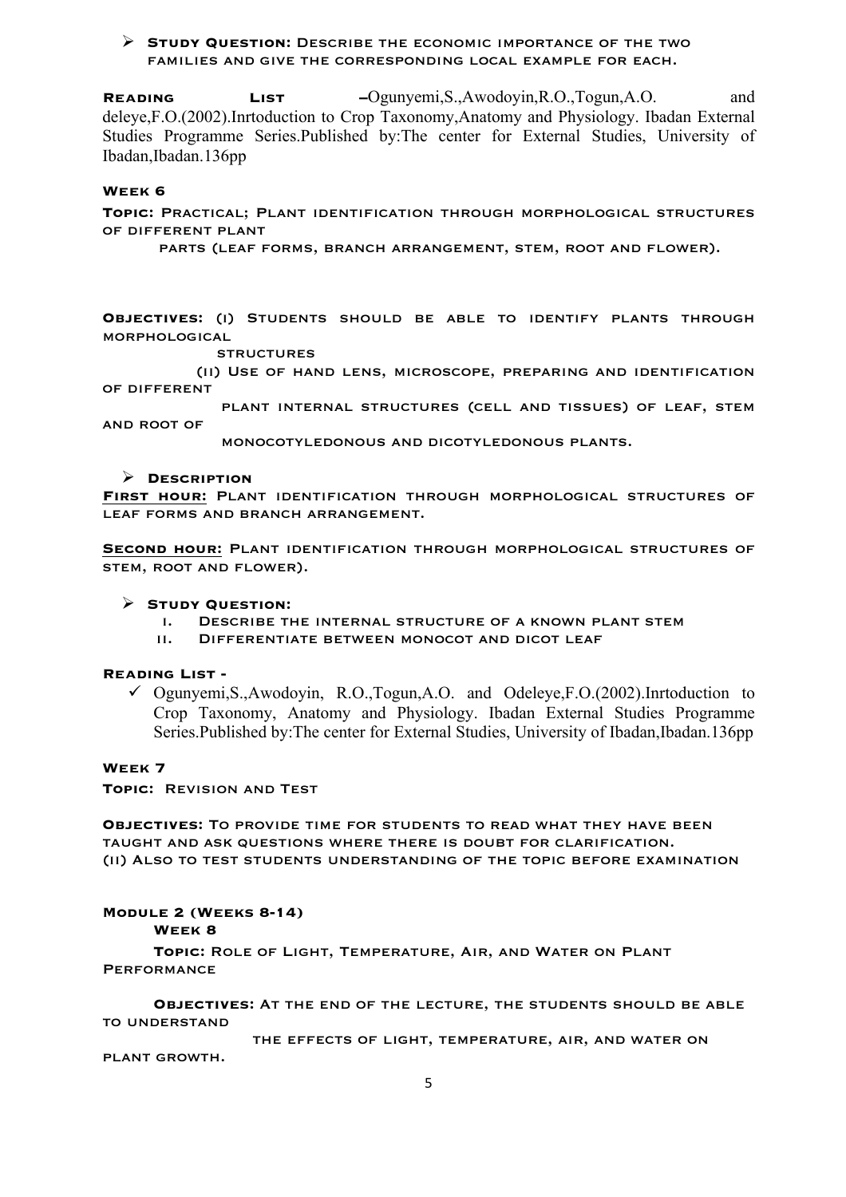# Ø **Study Question:** Describe the economic importance of the two families and give the corresponding local example for each.

**Reading List –**Ogunyemi,S.,Awodoyin,R.O.,Togun,A.O. and deleye,F.O.(2002).Inrtoduction to Crop Taxonomy,Anatomy and Physiology. Ibadan External Studies Programme Series.Published by:The center for External Studies, University of Ibadan,Ibadan.136pp

#### **Week 6**

**Topic:** Practical; Plant identification through morphological structures of different plant

parts (leaf forms, branch arrangement, stem, root and flower).

**Objectives:** (i) Students should be able to identify plants through morphological

#### **STRUCTURES**

 (ii) Use of hand lens, microscope, preparing and identification of different

 plant internal structures (cell and tissues) of leaf, stem and root of

monocotyledonous and dicotyledonous plants.

### Ø **Description**

**First hour:** Plant identification through morphological structures of leaf forms and branch arrangement.

**Second hour:** Plant identification through morphological structures of stem, root and flower).

# Ø **Study Question:**

- i. Describe the internal structure of a known plant stem
- ii. Differentiate between monocot and dicot leaf

#### **Reading List -**

 $\checkmark$  Ogunyemi,S.,Awodoyin, R.O.,Togun,A.O. and Odeleye,F.O.(2002).Inrtoduction to Crop Taxonomy, Anatomy and Physiology. Ibadan External Studies Programme Series.Published by:The center for External Studies, University of Ibadan,Ibadan.136pp

# **Week 7**

**Topic:** Revision and Test

**Objectives:** To provide time for students to read what they have been taught and ask questions where there is doubt for clarification. (ii) Also to test students understanding of the topic before examination

## **Module 2 (Weeks 8-14)**

**Week 8**

**Topic:** Role of Light, Temperature, Air, and Water on Plant **PERFORMANCE** 

**Objectives:** At the end of the lecture, the students should be able to understand

 the effects of light, temperature, air, and water on plant growth.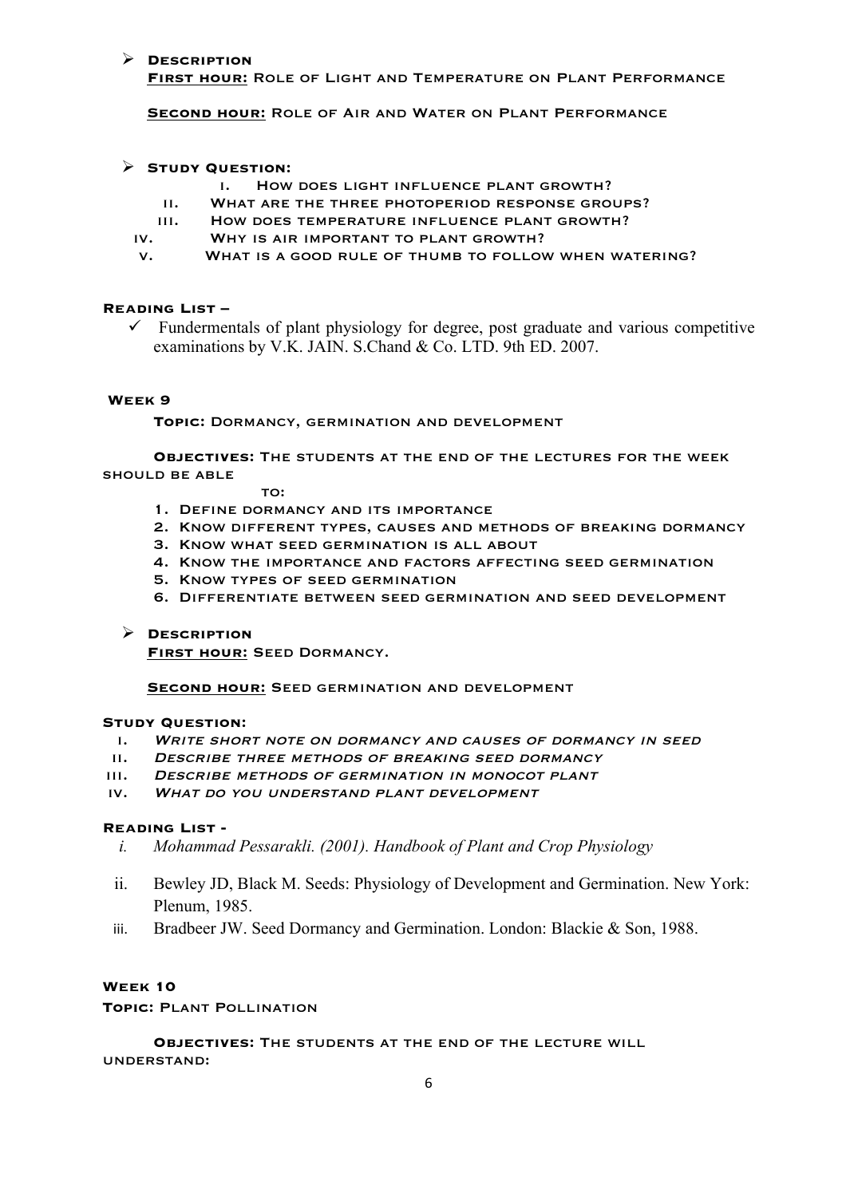# Ø **Description**

**First hour:** Role of Light and Temperature on Plant Performance

**Second hour:** Role of Air and Water on Plant Performance

# Ø **Study Question:**

- i. How does light influence plant growth?
- ii. What are the three photoperiod response groups?
- iii. How does temperature influence plant growth?
- iv. Why is air important to plant growth?
- v. What is a good rule of thumb to follow when watering?

## **Reading List –**

 $\checkmark$  Fundermentals of plant physiology for degree, post graduate and various competitive examinations by V.K. JAIN. S.Chand & Co. LTD. 9th ED. 2007.

# **Week 9**

**Topic:** Dormancy, germination and development

**Objectives:** The students at the end of the lectures for the week should be able

### TO:

- 1. Define dormancy and its importance
- 2. Know different types, causes and methods of breaking dormancy
- 3. Know what seed germination is all about
- 4. Know the importance and factors affecting seed germination
- 5. Know types of seed germination
- 6. Differentiate between seed germination and seed development

# Ø **Description**

**First hour:** Seed Dormancy.

**Second hour:** Seed germination and development

# **Study Question:**

- i. Write short note on dormancy and causes of dormancy in seed
- ii. Describe three methods of breaking seed dormancy
- iii. Describe methods of germination in monocot plant
- iv. What do you understand plant development

## **Reading List -**

- *i. Mohammad Pessarakli. (2001). Handbook of Plant and Crop Physiology*
- ii. Bewley JD, Black M. Seeds: Physiology of Development and Germination. New York: Plenum, 1985.
- iii. Bradbeer JW. Seed Dormancy and Germination. London: Blackie & Son, 1988.

# **Week 10**

**Topic:** Plant Pollination

**Objectives:** The students at the end of the lecture will understand: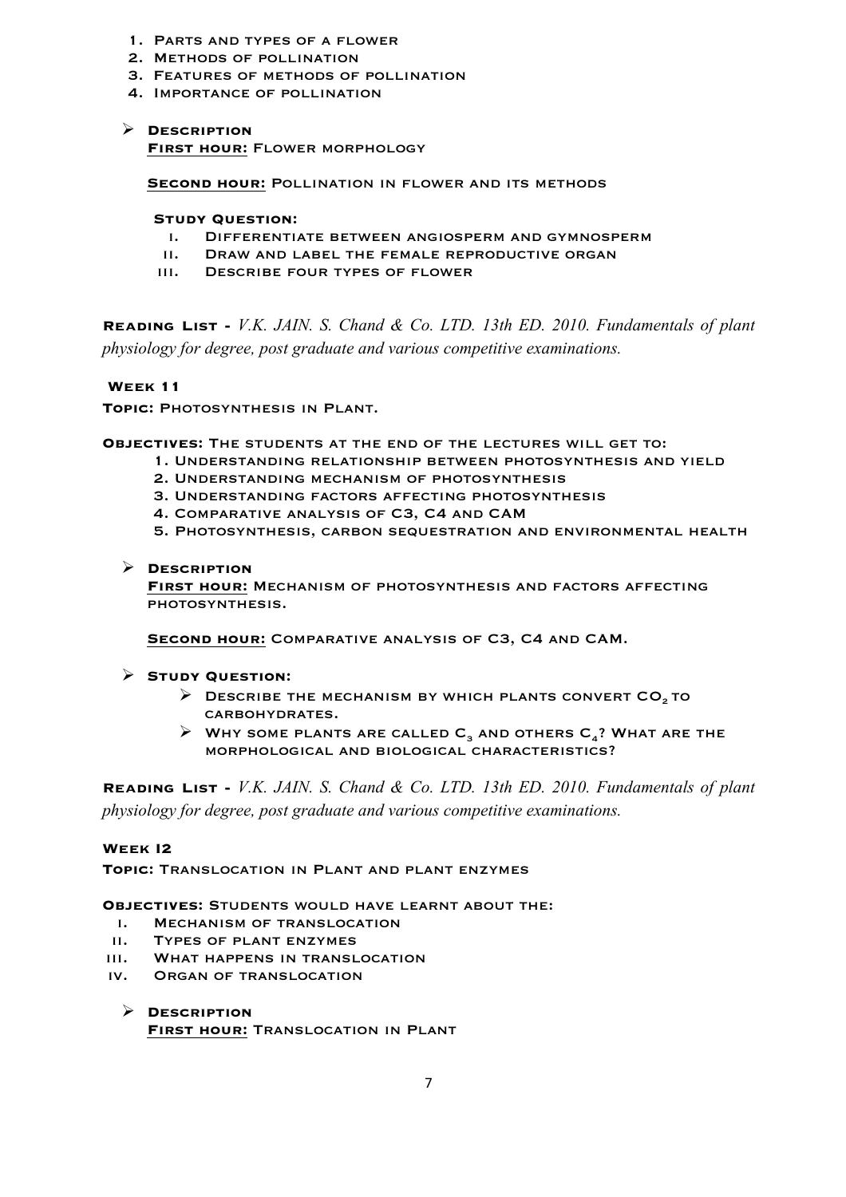- 1. Parts and types of a flower
- 2. Methods of pollination
- 3. Features of methods of pollination
- 4. Importance of pollination

# Ø **Description**

**First hour:** Flower morphology

**Second hour:** Pollination in flower and its methods

## **Study Question:**

- i. Differentiate between angiosperm and gymnosperm
- ii. Draw and label the female reproductive organ
- iii. Describe four types of flower

**Reading List -** *V.K. JAIN. S. Chand & Co. LTD. 13th ED. 2010. Fundamentals of plant physiology for degree, post graduate and various competitive examinations.* 

# **Week 11**

**Topic:** Photosynthesis in Plant.

**Objectives:** The students at the end of the lectures will get to:

- 1. Understanding relationship between photosynthesis and yield
- 2. Understanding mechanism of photosynthesis
- 3. Understanding factors affecting photosynthesis
- 4. Comparative analysis of C3, C4 and CAM
- 5. Photosynthesis, carbon sequestration and environmental health

# Ø **Description**

**First hour:** Mechanism of photosynthesis and factors affecting photosynthesis.

**Second hour:** Comparative analysis of C3, C4 and CAM.

# Ø **Study Question:**

- $\triangleright$  DESCRIBE THE MECHANISM BY WHICH PLANTS CONVERT CO<sub>2</sub> to carbohydrates.
- $\triangleright$  WHY SOME PLANTS ARE CALLED C<sub>3</sub> AND OTHERS C<sub>4</sub>? WHAT ARE THE morphological and biological characteristics?

**Reading List -** *V.K. JAIN. S. Chand & Co. LTD. 13th ED. 2010. Fundamentals of plant physiology for degree, post graduate and various competitive examinations.* 

# **Week I2**

**Topic:** Translocation in Plant and plant enzymes

## **Objectives:** Students would have learnt about the:

- i. Mechanism of translocation
- ii. Types of plant enzymes
- iii. What happens in translocation
- iv. Organ of translocation

Ø **Description FIRST HOUR: TRANSLOCATION IN PLANT**